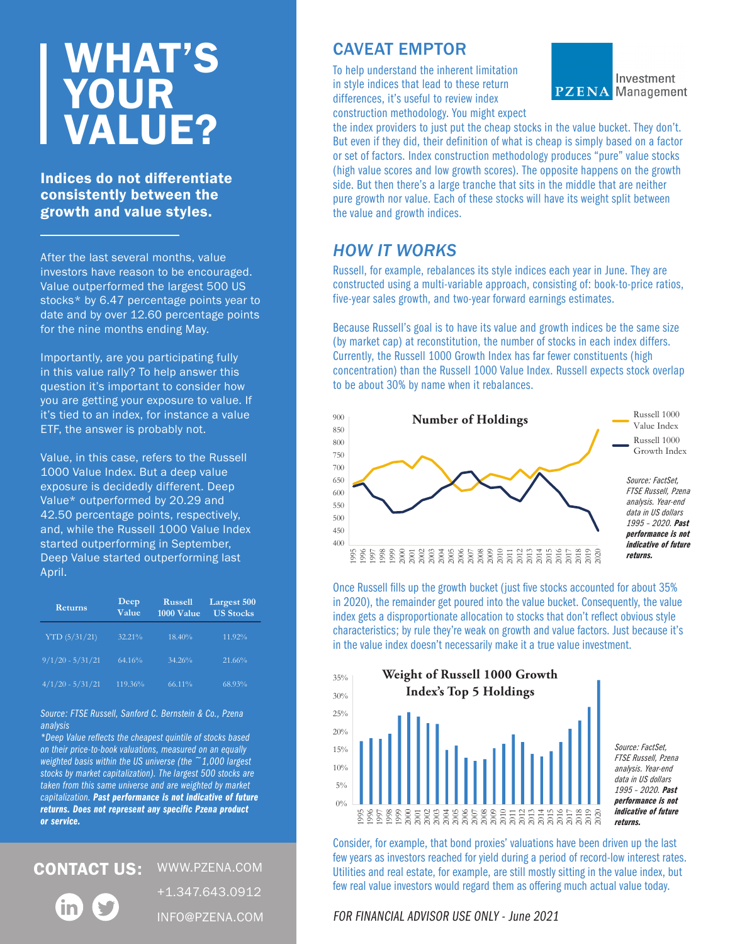## WHAT'S YOUR VALUE?

Indices do not differentiate consistently between the growth and value styles.

After the last several months, value investors have reason to be encouraged. Value outperformed the largest 500 US stocks\* by 6.47 percentage points year to date and by over 12.60 percentage points for the nine months ending May.

Importantly, are you participating fully in this value rally? To help answer this question it's important to consider how you are getting your exposure to value. If it's tied to an index, for instance a value ETF, the answer is probably not.

Value, in this case, refers to the Russell 1000 Value Index. But a deep value exposure is decidedly different. Deep Value\* outperformed by 20.29 and 42.50 percentage points, respectively, and, while the Russell 1000 Value Index started outperforming in September, Deep Value started outperforming last April.

| <b>Returns</b>     | Deep<br>Value | <b>Russell</b><br>1000 Value | <b>Largest 500</b><br><b>US Stocks</b> |
|--------------------|---------------|------------------------------|----------------------------------------|
| YTD(5/31/21)       | 32.21%        | 18.40%                       | 11.92%                                 |
| $9/1/20 - 5/31/21$ | 64.16%        | 34.26%                       | 21.66%                                 |
| $4/1/20 - 5/31/21$ | 119.36%       | 66.11%                       | 68.93%                                 |

*Source: FTSE Russell, Sanford C. Bernstein & Co., Pzena analysis*

*\*Deep Value reflects the cheapest quintile of stocks based on their price-to-book valuations, measured on an equally weighted basis within the US universe (the ~1,000 largest stocks by market capitalization). The largest 500 stocks are taken from this same universe and are weighted by market capitalization. Past performance is not indicative of future returns. Does not represent any specific Pzena product or service.* 

WWW.PZENA.COM CONTACT US:

+1.347.643.0912

INFO@PZENA.COM

CAVEAT EMPTOR

To help understand the inherent limitation in style indices that lead to these return differences, it's useful to review index construction methodology. You might expect



the index providers to just put the cheap stocks in the value bucket. They don't. But even if they did, their definition of what is cheap is simply based on a factor or set of factors. Index construction methodology produces "pure" value stocks (high value scores and low growth scores). The opposite happens on the growth side. But then there's a large tranche that sits in the middle that are neither pure growth nor value. Each of these stocks will have its weight split between the value and growth indices.

## *HOW IT WORKS*

Russell, for example, rebalances its style indices each year in June. They are constructed using a multi-variable approach, consisting of: book-to-price ratios, five-year sales growth, and two-year forward earnings estimates.

Because Russell's goal is to have its value and growth indices be the same size (by market cap) at reconstitution, the number of stocks in each index differs. Currently, the Russell 1000 Growth Index has far fewer constituents (high concentration) than the Russell 1000 Value Index. Russell expects stock overlap to be about 30% by name when it rebalances.



Once Russell fills up the growth bucket (just five stocks accounted for about 35% in 2020), the remainder get poured into the value bucket. Consequently, the value index gets a disproportionate allocation to stocks that don't reflect obvious style characteristics; by rule they're weak on growth and value factors. Just because it's in the value index doesn't necessarily make it a true value investment.



Consider, for example, that bond proxies' valuations have been driven up the last few years as investors reached for yield during a period of record-low interest rates. Utilities and real estate, for example, are still mostly sitting in the value index, but few real value investors would regard them as offering much actual value today.

FOR FINANCIAL ADVISOR USE ONLY - June 2021